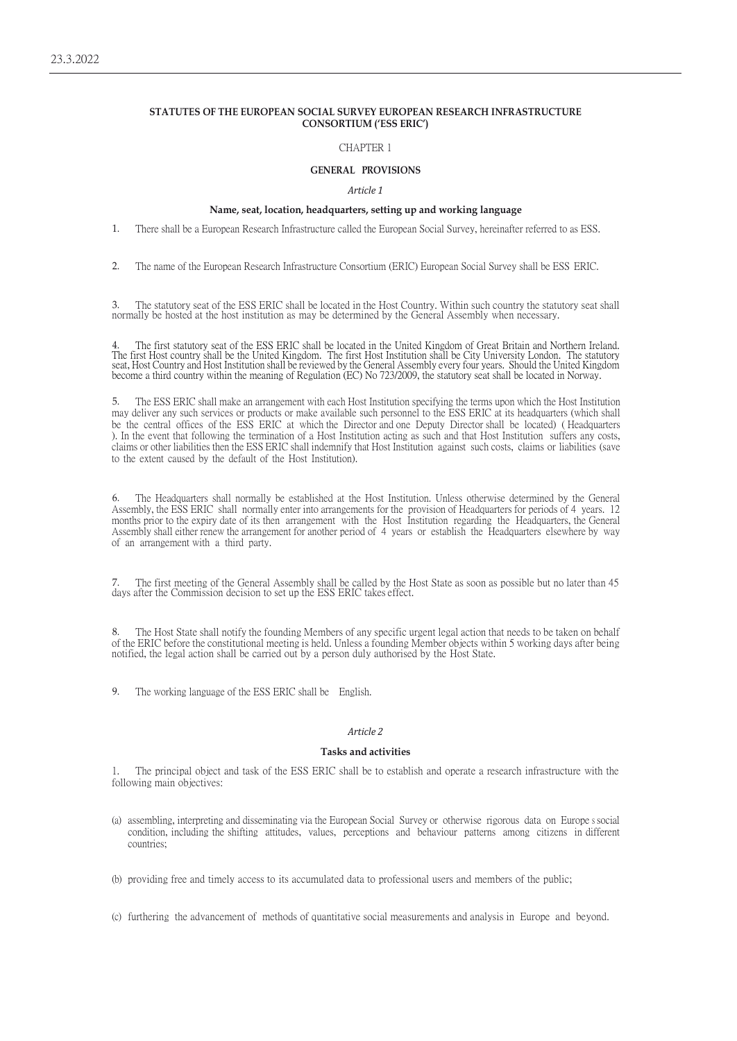# **STATUTES OF THE EUROPEAN SOCIAL SURVEY EUROPEAN RESEARCH INFRASTRUCTURE CONSORTIUM ('ESS ERIC')**

### CHAPTER 1

## **GENERAL PROVISIONS**

#### *Article 1*

#### **Name, seat, location, headquarters, setting up and working language**

1. There shall be a European Research Infrastructure called the European Social Survey, hereinafter referred to as ESS.

2. The name of the European Research Infrastructure Consortium (ERIC) European Social Survey shall be ESS ERIC.

3. The statutory seat of the ESS ERIC shall be located in the Host Country. Within such country the statutory seat shall normally be hosted at the host institution as may be determined by the General Assembly when necessary.

4. The first statutory seat of the ESS ERIC shall be located in the United Kingdom of Great Britain and Northern Ireland. The first Host country shall be the United Kingdom. The first Host Institution shall be City University London. The statutory<br>seat, Host Country and Host Institution shall be reviewed by the General Assembly every four yea

5. The ESS ERIC shall make an arrangement with each Host Institution specifying the terms upon which the Host Institution may deliver any such services or products or make available such personnel to the ESS ERIC at its headquarters (which shall be the central offices of the ESS ERIC at which the Director and one Deputy Director shall be located) ( Headquarters ). In the event that following the termination of a Host Institution acting as such and that Host Institution suffers any costs, claims or other liabilities then the ESS ERIC shall indemnify that Host Institution against such costs, claims or liabilities (save to the extent caused by the default of the Host Institution).

6. The Headquarters shall normally be established at the Host Institution. Unless otherwise determined by the General Assembly, the ESS ERIC shall normally enter into arrangements for the provision of Headquarters for periods of 4 years. 12 months prior to the expiry date of its then arrangement with the Host Institution regarding the Headquarters, the General Assembly shall either renew the arrangement for another period of 4 years or establish the Headquarters elsewhere by way of an arrangement with a third party.

7. The first meeting of the General Assembly shall be called by the Host State as soon as possible but no later than 45 days after the Commission decision to set up the ESS ERIC takes effect.

8. The Host State shall notify the founding Members of any specific urgent legal action that needs to be taken on behalf of the ERIC before the constitutional meeting is held. Unless a founding Member objects within 5 working days after being notified, the legal action shall be carried out by a person duly authorised by the Host State.

9. The working language of the ESS ERIC shall be English.

## *Article 2*

### **Tasks and activities**

1. The principal object and task of the ESS ERIC shall be to establish and operate a research infrastructure with the following main objectives:

- (a) assembling, interpreting and disseminating via the European Social Survey or otherwise rigorous data on Europe s social condition, including the shifting attitudes, values, perceptions and behaviour patterns among citizens in different countries;
- (b) providing free and timely access to its accumulated data to professional users and members of the public;
- (c) furthering the advancement of methods of quantitative social measurements and analysis in Europe and beyond.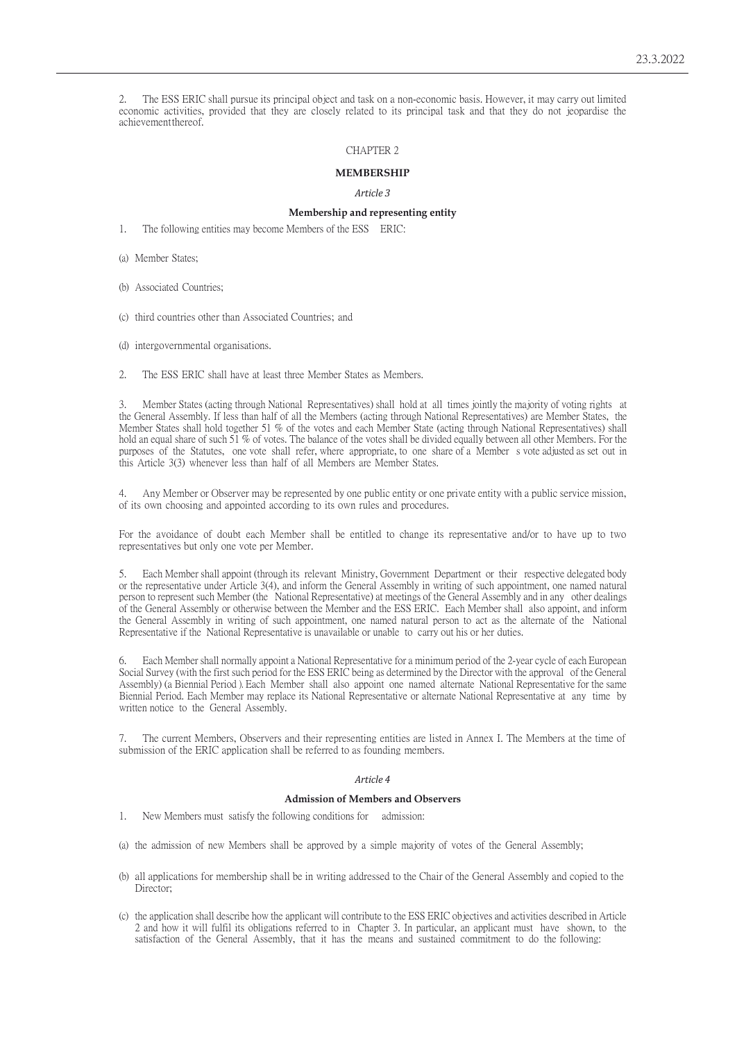2. The ESS ERIC shall pursue its principal object and task on a non-economic basis. However, it may carry out limited economic activities, provided that they are closely related to its principal task and that they do not jeopardise the achievementthereof.

## CHAPTER 2

# **MEMBERSHIP**

*Article 3*

# **Membership and representing entity**

1. The following entities may become Members of the ESS ERIC:

(a) Member States;

(b) Associated Countries;

(c) third countries other than Associated Countries; and

(d) intergovernmental organisations.

2. The ESS ERIC shall have at least three Member States as Members.

3. Member States (acting through National Representatives) shall hold at all times jointly the majority of voting rights at the General Assembly. If less than half of all the Members (acting through National Representatives) are Member States, the Member States shall hold together 51 % of the votes and each Member State (acting through National Representatives) shall hold an equal share of such 51 % of votes. The balance of the votes shall be divided equally between all other Members. For the purposes of the Statutes, one vote shall refer, where appropriate, to one share of a Member s vote adjusted as set out in this Article 3(3) whenever less than half of all Members are Member States.

4. Any Member or Observer may be represented by one public entity or one private entity with a public service mission, of its own choosing and appointed according to its own rules and procedures.

For the avoidance of doubt each Member shall be entitled to change its representative and/or to have up to two representatives but only one vote per Member.

5. Each Member shall appoint (through its relevant Ministry, Government Department or their respective delegated body or the representative under Article 3(4), and inform the General Assembly in writing of such appointment, one named natural person to represent such Member (the National Representative) at meetings of the General Assembly and in any other dealings of the General Assembly or otherwise between the Member and the ESS ERIC. Each Member shall also appoint, and inform the General Assembly in writing of such appointment, one named natural person to act as the alternate of the National Representative if the National Representative is unavailable or unable to carry out his or her duties.

6. Each Member shall normally appoint a National Representative for a minimum period of the 2-year cycle of each European Social Survey (with the first such period for the ESS ERIC being as determined by the Director with the approval of the General Assembly) (a Biennial Period ). Each Member shall also appoint one named alternate National Representative for the same Biennial Period. Each Member may replace its National Representative or alternate National Representative at any time by written notice to the General Assembly.

7. The current Members, Observers and their representing entities are listed in Annex I. The Members at the time of submission of the ERIC application shall be referred to as founding members.

#### *Article 4*

## **Admission of Members and Observers**

1. New Members must satisfy the following conditions for admission:

- (a) the admission of new Members shall be approved by a simple majority of votes of the General Assembly;
- (b) all applications for membership shall be in writing addressed to the Chair of the General Assembly and copied to the Director;
- (c) the application shall describe how the applicant will contribute to the ESS ERIC objectives and activities described in Article 2 and how it will fulfil its obligations referred to in Chapter 3. In particular, an applicant must have shown, to the satisfaction of the General Assembly, that it has the means and sustained commitment to do the following: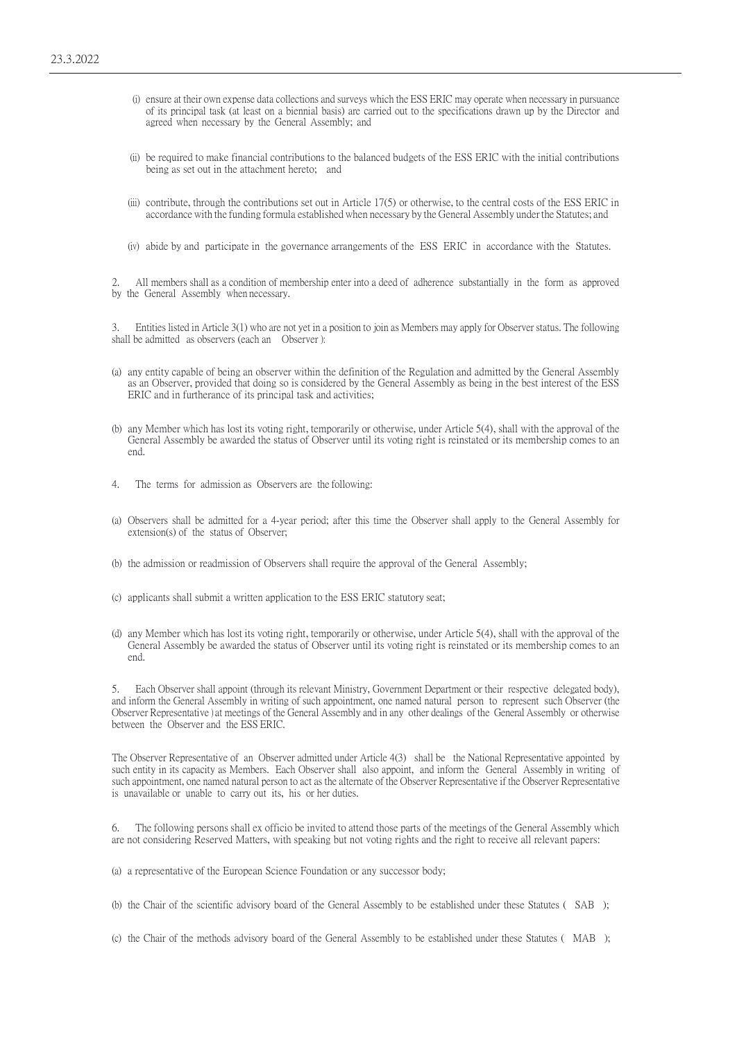- (i) ensure at their own expense data collections and surveys which the ESS ERIC may operate when necessary in pursuance of its principal task (at least on a biennial basis) are carried out to the specifications drawn up by the Director and agreed when necessary by the General Assembly; and
- (ii) be required to make financial contributions to the balanced budgets of the ESS ERIC with the initial contributions being as set out in the attachment hereto; and
- (iii) contribute, through the contributions set out in Article 17(5) or otherwise, to the central costs of the ESS ERIC in accordance with the funding formula established when necessary by the General Assembly under the Statutes; and
- (iv) abide by and participate in the governance arrangements of the ESS ERIC in accordance with the Statutes.

2. All members shall as a condition of membership enter into a deed of adherence substantially in the form as approved by the General Assembly when necessary.

3. Entities listed in Article 3(1) who are not yet in a position to join as Members may apply for Observer status. The following shall be admitted as observers (each an Observer ):

- (a) any entity capable of being an observer within the definition of the Regulation and admitted by the General Assembly as an Observer, provided that doing so is considered by the General Assembly as being in the best interest of the ESS ERIC and in furtherance of its principal task and activities;
- (b) any Member which has lost its voting right, temporarily or otherwise, under Article 5(4), shall with the approval of the General Assembly be awarded the status of Observer until its voting right is reinstated or its membership comes to an end.
- The terms for admission as Observers are the following:
- (a) Observers shall be admitted for a 4-year period; after this time the Observer shall apply to the General Assembly for extension(s) of the status of Observer;
- (b) the admission or readmission of Observers shall require the approval of the General Assembly;
- (c) applicants shall submit a written application to the ESS ERIC statutory seat;
- (d) any Member which has lost its voting right, temporarily or otherwise, under Article 5(4), shall with the approval of the General Assembly be awarded the status of Observer until its voting right is reinstated or its membership comes to an end.

5. Each Observer shall appoint (through its relevant Ministry, Government Department or their respective delegated body), and inform the General Assembly in writing of such appointment, one named natural person to represent such Observer (the Observer Representative ) at meetings of the General Assembly and in any other dealings of the General Assembly or otherwise between the Observer and the ESS ERIC.

The Observer Representative of an Observer admitted under Article 4(3) shall be the National Representative appointed by such entity in its capacity as Members. Each Observer shall also appoint, and inform the General Assembly in writing of such appointment, one named natural person to act as the alternate of the Observer Representative if the Observer Representative is unavailable or unable to carry out its, his or her duties.

6. The following persons shall ex officio be invited to attend those parts of the meetings of the General Assembly which are not considering Reserved Matters, with speaking but not voting rights and the right to receive all relevant papers:

(a) a representative of the European Science Foundation or any successor body;

(b) the Chair of the scientific advisory board of the General Assembly to be established under these Statutes ( SAB );

(c) the Chair of the methods advisory board of the General Assembly to be established under these Statutes ( MAB );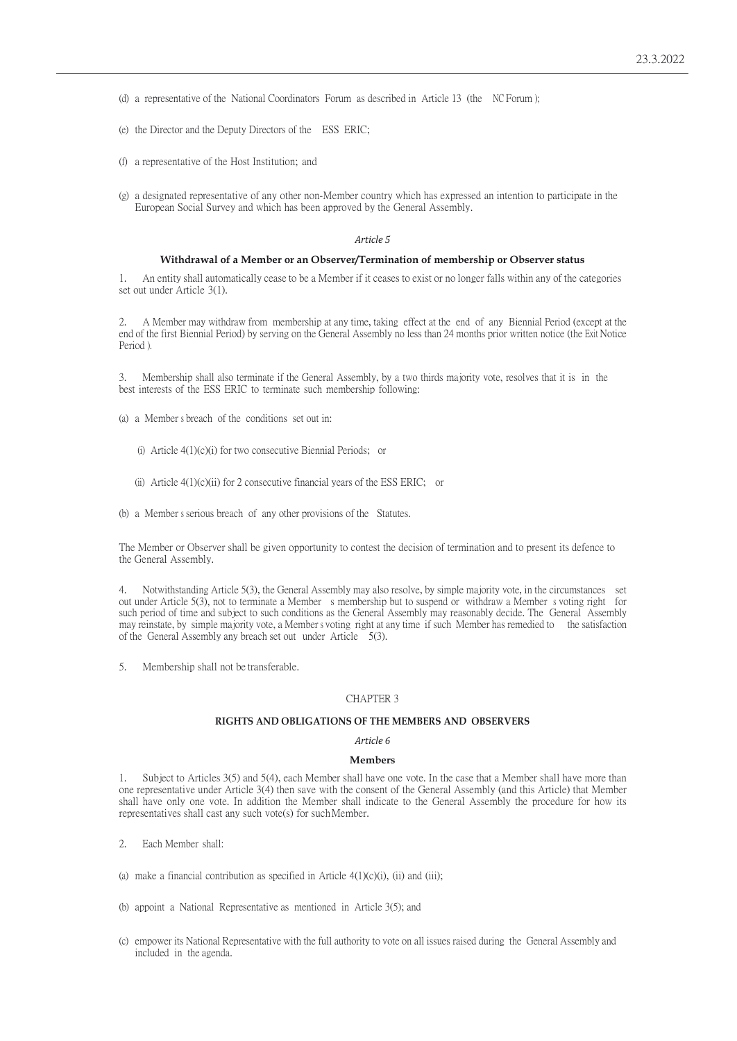(d) a representative of the National Coordinators Forum as described in Article 13 (the NC Forum );

- (e) the Director and the Deputy Directors of the ESS ERIC;
- (f) a representative of the Host Institution; and
- (g) a designated representative of any other non-Member country which has expressed an intention to participate in the European Social Survey and which has been approved by the General Assembly.

# *Article 5*

#### **Withdrawal of a Member or an Observer/Termination of membership or Observer status**

1. An entity shall automatically cease to be a Member if it ceases to exist or no longer falls within any of the categories set out under Article 3(1).

2. A Member may withdraw from membership at any time, taking effect at the end of any Biennial Period (except at the end of the first Biennial Period) by serving on the General Assembly no less than 24 months prior written notice (the Exit Notice Period ).

3. Membership shall also terminate if the General Assembly, by a two thirds majority vote, resolves that it is in the best interests of the ESS ERIC to terminate such membership following:

- (a) a Member s breach of the conditions set out in:
	- (i) Article 4(1)(c)(i) for two consecutive Biennial Periods; or
	- (ii) Article 4(1)(c)(ii) for 2 consecutive financial years of the ESS ERIC; or
- (b) a Member s serious breach of any other provisions of the Statutes.

The Member or Observer shall be given opportunity to contest the decision of termination and to present its defence to the General Assembly.

4. Notwithstanding Article 5(3), the General Assembly may also resolve, by simple majority vote, in the circumstances set out under Article 5(3), not to terminate a Member s membership but to suspend or withdraw a Member s voting right for such period of time and subject to such conditions as the General Assembly may reasonably decide. The General Assembly may reinstate, by simple majority vote, a Member s voting right at any time if such Member has remedied to the satisfaction of the General Assembly any breach set out under Article 5(3).

5. Membership shall not be transferable.

### CHAPTER 3

### **RIGHTS AND OBLIGATIONS OF THE MEMBERS AND OBSERVERS**

#### *Article 6*

# **Members**

1. Subject to Articles 3(5) and 5(4), each Member shall have one vote. In the case that a Member shall have more than one representative under Article 3(4) then save with the consent of the General Assembly (and this Article) that Member shall have only one vote. In addition the Member shall indicate to the General Assembly the procedure for how its representatives shall cast any such vote(s) for suchMember.

- 2. Each Member shall:
- (a) make a financial contribution as specified in Article  $4(1)(c)(i)$ , (ii) and (iii);
- (b) appoint a National Representative as mentioned in Article 3(5); and
- (c) empower its National Representative with the full authority to vote on all issues raised during the General Assembly and included in the agenda.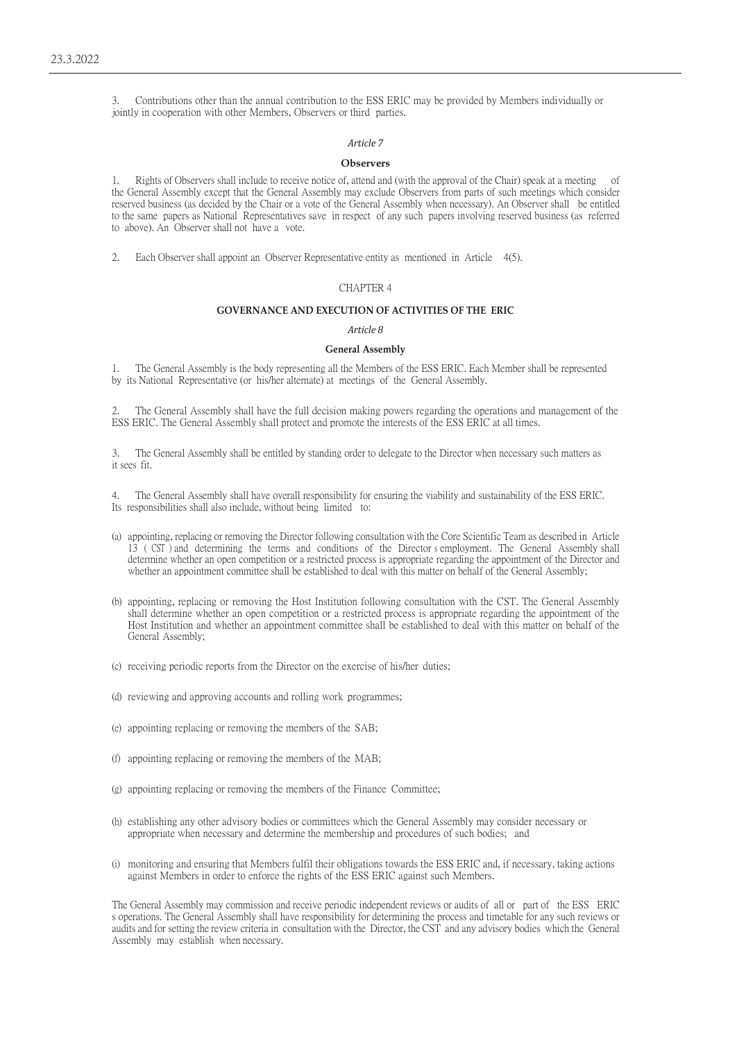3. Contributions other than the annual contribution to the ESS ERIC may be provided by Members individually or jointly in cooperation with other Members, Observers or third parties.

# *Article 7*

# **Observers**

1. Rights of Observers shall include to receive notice of, attend and (with the approval of the Chair) speak at a meeting of the General Assembly except that the General Assembly may exclude Observers from parts of such meetings which consider reserved business (as decided by the Chair or a vote of the General Assembly when necessary). An Observer shall be entitled to the same papers as National Representatives save in respect of any such papers involving reserved business (as referred to above). An Observer shall not have a vote.

2. Each Observer shall appoint an Observer Representative entity as mentioned in Article 4(5).

### CHAPTER 4

# **GOVERNANCE AND EXECUTION OF ACTIVITIES OF THE ERIC**

### *Article 8*

#### **General Assembly**

1. The General Assembly is the body representing all the Members of the ESS ERIC. Each Member shall be represented by its National Representative (or his/her alternate) at meetings of the General Assembly.

The General Assembly shall have the full decision making powers regarding the operations and management of the ESS ERIC. The General Assembly shall protect and promote the interests of the ESS ERIC at all times.

3. The General Assembly shall be entitled by standing order to delegate to the Director when necessary such matters as it sees fit.

4. The General Assembly shall have overall responsibility for ensuring the viability and sustainability of the ESS ERIC. Its responsibilities shall also include, without being limited to:

- (a) appointing, replacing or removing the Director following consultation with the Core Scientific Team as described in Article 13 ( CST ) and determining the terms and conditions of the Director s employment. The General Assembly shall determine whether an open competition or a restricted process is appropriate regarding the appointment of the Director and whether an appointment committee shall be established to deal with this matter on behalf of the General Assembly;
- (b) appointing, replacing or removing the Host Institution following consultation with the CST. The General Assembly shall determine whether an open competition or a restricted process is appropriate regarding the appointment of the Host Institution and whether an appointment committee shall be established to deal with this matter on behalf of the General Assembly;
- (c) receiving periodic reports from the Director on the exercise of his/her duties;
- (d) reviewing and approving accounts and rolling work programmes;
- (e) appointing replacing or removing the members of the SAB;
- (f) appointing replacing or removing the members of the MAB;
- (g) appointing replacing or removing the members of the Finance Committee;
- (h) establishing any other advisory bodies or committees which the General Assembly may consider necessary or appropriate when necessary and determine the membership and procedures of such bodies; and
- (i) monitoring and ensuring that Members fulfil their obligations towards the ESS ERIC and, if necessary, taking actions against Members in order to enforce the rights of the ESS ERIC against such Members.

The General Assembly may commission and receive periodic independent reviews or audits of all or part of the ESS ERIC s operations. The General Assembly shall have responsibility for determining the process and timetable for any such reviews or audits and for setting the review criteria in consultation with the Director, the CST and any advisory bodies which the General Assembly may establish when necessary.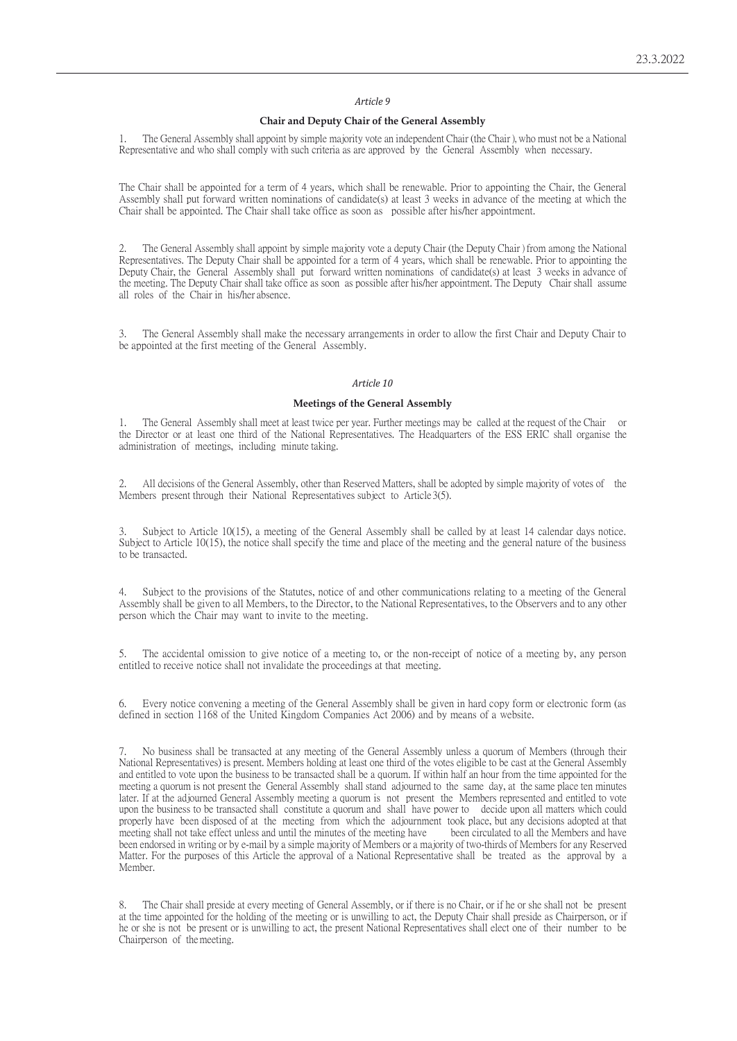### *Article 9*

### **Chair and Deputy Chair of the General Assembly**

1. The General Assembly shall appoint by simple majority vote an independent Chair (the Chair ), who must not be a National Representative and who shall comply with such criteria as are approved by the General Assembly when necessary.

The Chair shall be appointed for a term of 4 years, which shall be renewable. Prior to appointing the Chair, the General Assembly shall put forward written nominations of candidate(s) at least 3 weeks in advance of the meeting at which the Chair shall be appointed. The Chair shall take office as soon as possible after his/her appointment.

2. The General Assembly shall appoint by simple majority vote a deputy Chair (the Deputy Chair ) from among the National Representatives. The Deputy Chair shall be appointed for a term of 4 years, which shall be renewable. Prior to appointing the Deputy Chair, the General Assembly shall put forward written nominations of candidate(s) at least 3 weeks in advance of the meeting. The Deputy Chair shall take office as soon as possible after his/her appointment. The Deputy Chair shall assume all roles of the Chair in his/her absence.

3. The General Assembly shall make the necessary arrangements in order to allow the first Chair and Deputy Chair to be appointed at the first meeting of the General Assembly.

#### *Article 10*

# **Meetings of the General Assembly**

1. The General Assembly shall meet at least twice per year. Further meetings may be called at the request of the Chair or the Director or at least one third of the National Representatives. The Headquarters of the ESS ERIC shall organise the administration of meetings, including minute taking.

2. All decisions of the General Assembly, other than Reserved Matters, shall be adopted by simple majority of votes of the Members present through their National Representatives subject to Article 3(5).

3. Subject to Article 10(15), a meeting of the General Assembly shall be called by at least 14 calendar days notice. Subject to Article 10(15), the notice shall specify the time and place of the meeting and the general nature of the business to be transacted.

4. Subject to the provisions of the Statutes, notice of and other communications relating to a meeting of the General Assembly shall be given to all Members, to the Director, to the National Representatives, to the Observers and to any other person which the Chair may want to invite to the meeting.

5. The accidental omission to give notice of a meeting to, or the non-receipt of notice of a meeting by, any person entitled to receive notice shall not invalidate the proceedings at that meeting.

Every notice convening a meeting of the General Assembly shall be given in hard copy form or electronic form (as defined in section 1168 of the United Kingdom Companies Act 2006) and by means of a website.

7. No business shall be transacted at any meeting of the General Assembly unless a quorum of Members (through their National Representatives) is present. Members holding at least one third of the votes eligible to be cast at the General Assembly and entitled to vote upon the business to be transacted shall be a quorum. If within half an hour from the time appointed for the meeting a quorum is not present the General Assembly shall stand adjourned to the same day, at the same place ten minutes later. If at the adjourned General Assembly meeting a quorum is not present the Members represented and entitled to vote upon the business to be transacted shall constitute a quorum and shall have power to decide upon all matters which could properly have been disposed of at the meeting from which the adjournment took place, but any decisions adopted at that meeting shall not take effect unless and until the minutes of the meeting have been circulated to all t meeting shall not take effect unless and until the minutes of the meeting have been endorsed in writing or by e-mail by a simple majority of Members or a majority of two-thirds of Members for any Reserved Matter. For the purposes of this Article the approval of a National Representative shall be treated as the approval by a Member.

8. The Chair shall preside at every meeting of General Assembly, or if there is no Chair, or if he or she shall not be present at the time appointed for the holding of the meeting or is unwilling to act, the Deputy Chair shall preside as Chairperson, or if he or she is not be present or is unwilling to act, the present National Representatives shall elect one of their number to be Chairperson of themeeting.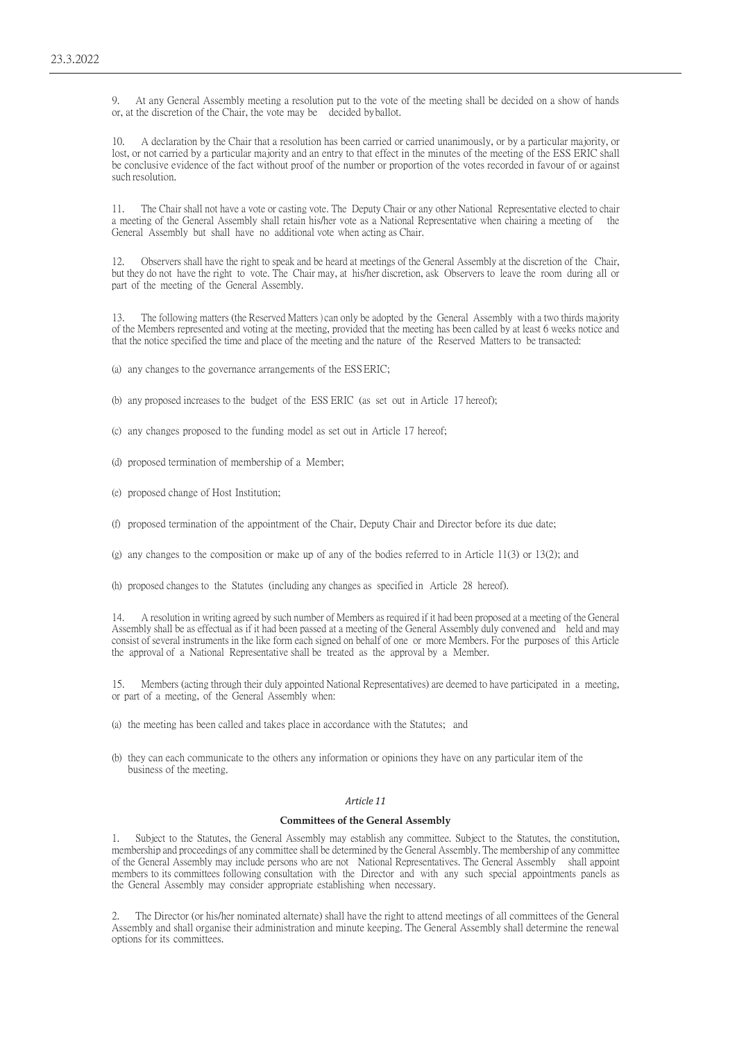9. At any General Assembly meeting a resolution put to the vote of the meeting shall be decided on a show of hands or, at the discretion of the Chair, the vote may be decided byballot.

10. A declaration by the Chair that a resolution has been carried or carried unanimously, or by a particular majority, or lost, or not carried by a particular majority and an entry to that effect in the minutes of the meeting of the ESS ERIC shall be conclusive evidence of the fact without proof of the number or proportion of the votes recorded in favour of or against such resolution.

11. The Chair shall not have a vote or casting vote. The Deputy Chair or any other National Representative elected to chair a meeting of the General Assembly shall retain his/her vote as a National Representative when chairing a meeting of the General Assembly but shall have no additional vote when acting as Chair.

12. Observers shall have the right to speak and be heard at meetings of the General Assembly at the discretion of the Chair, but they do not have the right to vote. The Chair may, at his/her discretion, ask Observers to leave the room during all or part of the meeting of the General Assembly.

13. The following matters (the Reserved Matters ) can only be adopted by the General Assembly with a two thirds majority of the Members represented and voting at the meeting, provided that the meeting has been called by at least 6 weeks notice and that the notice specified the time and place of the meeting and the nature of the Reserved Matters to be transacted:

(a) any changes to the governance arrangements of the ESSERIC;

(b) any proposed increases to the budget of the ESS ERIC (as set out in Article 17 hereof);

- (c) any changes proposed to the funding model as set out in Article 17 hereof;
- (d) proposed termination of membership of a Member;
- (e) proposed change of Host Institution;
- (f) proposed termination of the appointment of the Chair, Deputy Chair and Director before its due date;
- (g) any changes to the composition or make up of any of the bodies referred to in Article 11(3) or 13(2); and

(h) proposed changes to the Statutes (including any changes as specified in Article 28 hereof).

14. A resolution in writing agreed by such number of Members as required if it had been proposed at a meeting of the General Assembly shall be as effectual as if it had been passed at a meeting of the General Assembly duly convened and held and may consist of several instruments in the like form each signed on behalf of one or more Members. For the purposes of this Article the approval of a National Representative shall be treated as the approval by a Member.

15. Members (acting through their duly appointed National Representatives) are deemed to have participated in a meeting, or part of a meeting, of the General Assembly when:

- (a) the meeting has been called and takes place in accordance with the Statutes; and
- (b) they can each communicate to the others any information or opinions they have on any particular item of the business of the meeting.

#### *Article 11*

#### **Committees of the General Assembly**

1. Subject to the Statutes, the General Assembly may establish any committee. Subject to the Statutes, the constitution, membership and proceedings of any committee shall be determined by the General Assembly. The membership of any committee of the General Assembly may include persons who are not National Representatives. The General Assembly shall appoint members to its committees following consultation with the Director and with any such special appointments panels as the General Assembly may consider appropriate establishing when necessary.

2. The Director (or his/her nominated alternate) shall have the right to attend meetings of all committees of the General Assembly and shall organise their administration and minute keeping. The General Assembly shall determine the renewal options for its committees.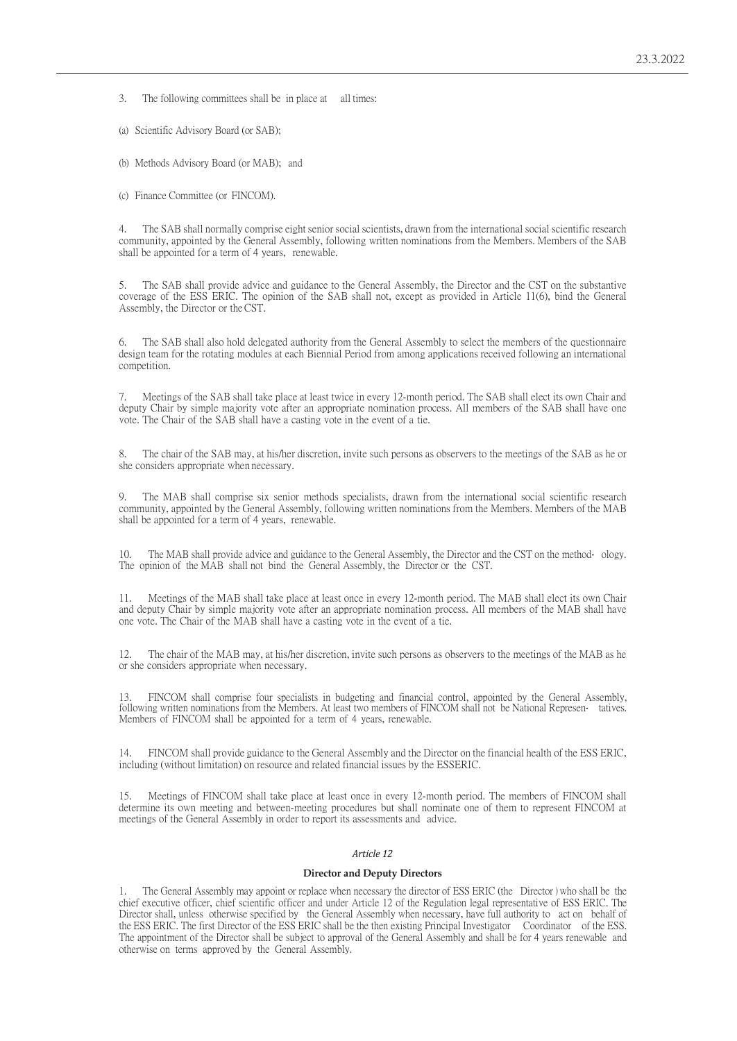3. The following committees shall be in place at all times:

(a) Scientific Advisory Board (or SAB);

(b) Methods Advisory Board (or MAB); and

(c) Finance Committee (or FINCOM).

4. The SAB shall normally comprise eight senior social scientists, drawn from the international social scientific research community, appointed by the General Assembly, following written nominations from the Members. Members of the SAB shall be appointed for a term of 4 years, renewable.

5. The SAB shall provide advice and guidance to the General Assembly, the Director and the CST on the substantive coverage of the ESS ERIC. The opinion of the SAB shall not, except as provided in Article 11(6), bind the General Assembly, the Director or the CST.

The SAB shall also hold delegated authority from the General Assembly to select the members of the questionnaire design team for the rotating modules at each Biennial Period from among applications received following an international competition.

7. Meetings of the SAB shall take place at least twice in every 12-month period. The SAB shall elect its own Chair and deputy Chair by simple majority vote after an appropriate nomination process. All members of the SAB shall have one vote. The Chair of the SAB shall have a casting vote in the event of a tie.

The chair of the SAB may, at his/her discretion, invite such persons as observers to the meetings of the SAB as he or she considers appropriate when necessary.

9. The MAB shall comprise six senior methods specialists, drawn from the international social scientific research community, appointed by the General Assembly, following written nominations from the Members. Members of the MAB shall be appointed for a term of 4 years, renewable.

10. The MAB shall provide advice and guidance to the General Assembly, the Director and the CST on the method-ology. The opinion of the MAB shall not bind the General Assembly, the Director or the CST.

11. Meetings of the MAB shall take place at least once in every 12-month period. The MAB shall elect its own Chair and deputy Chair by simple majority vote after an appropriate nomination process. All members of the MAB shall have one vote. The Chair of the MAB shall have a casting vote in the event of a tie.

12. The chair of the MAB may, at his/her discretion, invite such persons as observers to the meetings of the MAB as he or she considers appropriate when necessary.

13. FINCOM shall comprise four specialists in budgeting and financial control, appointed by the General Assembly, following written nominations from the Members. At least two members of FINCOM shall not be National Representatives. Members of FINCOM shall be appointed for a term of 4 years, renewable.

14. FINCOM shall provide guidance to the General Assembly and the Director on the financial health of the ESS ERIC, including (without limitation) on resource and related financial issues by the ESSERIC.

15. Meetings of FINCOM shall take place at least once in every 12-month period. The members of FINCOM shall determine its own meeting and between-meeting procedures but shall nominate one of them to represent FINCOM at meetings of the General Assembly in order to report its assessments and advice.

# *Article 12*

#### **Director and Deputy Directors**

1. The General Assembly may appoint or replace when necessary the director of ESS ERIC (the Director ) who shall be the chief executive officer, chief scientific officer and under Article 12 of the Regulation legal representative of ESS ERIC. The Director shall, unless otherwise specified by the General Assembly when necessary, have full authority to act on behalf of the ESS ERIC. The first Director of the ESS ERIC shall be the then existing Principal Investigator Coordinator of the ESS. The appointment of the Director shall be subject to approval of the General Assembly and shall be for 4 years renewable and otherwise on terms approved by the General Assembly.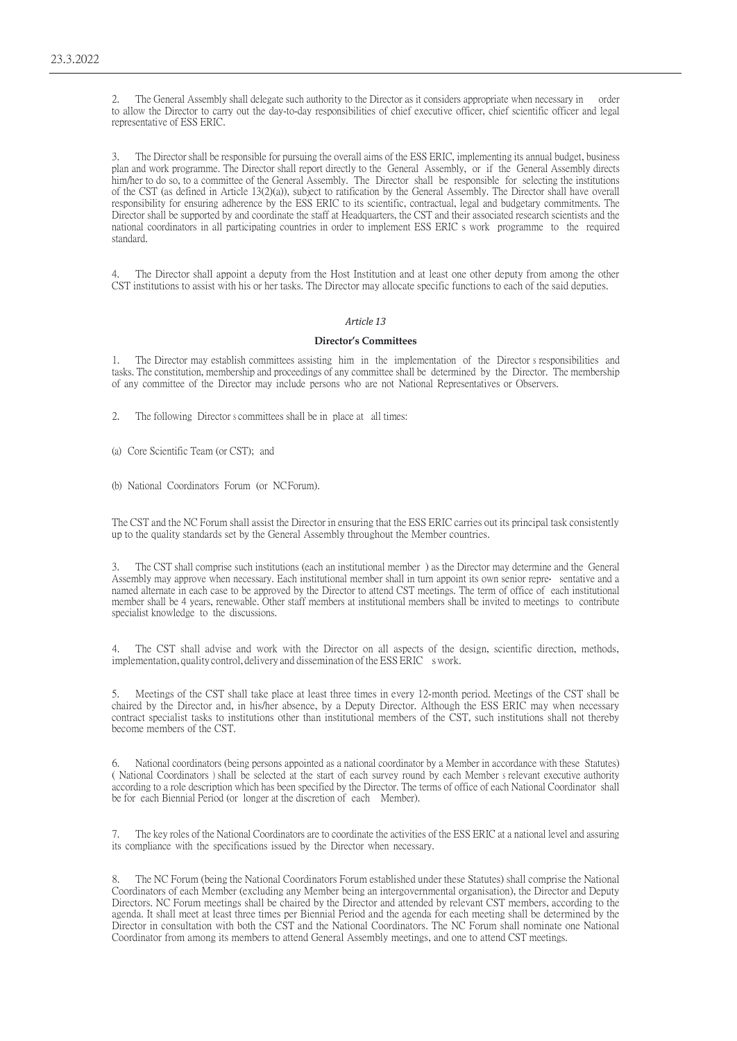2. The General Assembly shall delegate such authority to the Director as it considers appropriate when necessary in order to allow the Director to carry out the day-to-day responsibilities of chief executive officer, chief scientific officer and legal representative of ESS ERIC.

3. The Director shall be responsible for pursuing the overall aims of the ESS ERIC, implementing its annual budget, business plan and work programme. The Director shall report directly to the General Assembly, or if the General Assembly directs him/her to do so, to a committee of the General Assembly. The Director shall be responsible for selecting the institutions of the CST (as defined in Article 13(2)(a)), subject to ratification by the General Assembly. The Director shall have overall responsibility for ensuring adherence by the ESS ERIC to its scientific, contractual, legal and budgetary commitments. The Director shall be supported by and coordinate the staff at Headquarters, the CST and their associated research scientists and the national coordinators in all participating countries in order to implement ESS ERIC s work programme to the required standard.

4. The Director shall appoint a deputy from the Host Institution and at least one other deputy from among the other CST institutions to assist with his or her tasks. The Director may allocate specific functions to each of the said deputies.

# *Article 13*

### **Director's Committees**

1. The Director may establish committees assisting him in the implementation of the Director s responsibilities and tasks. The constitution, membership and proceedings of any committee shall be determined by the Director. The membership of any committee of the Director may include persons who are not National Representatives or Observers.

2. The following Director s committees shall be in place at all times:

(a) Core Scientific Team (or CST); and

(b) National Coordinators Forum (or NCForum).

The CST and the NC Forum shall assist the Director in ensuring that the ESS ERIC carries out its principal task consistently up to the quality standards set by the General Assembly throughout the Member countries.

3. The CST shall comprise such institutions (each an institutional member ) as the Director may determine and the General Assembly may approve when necessary. Each institutional member shall in turn appoint its own senior repre sentative and a named alternate in each case to be approved by the Director to attend CST meetings. The term of office of each institutional member shall be 4 years, renewable. Other staff members at institutional members shall be invited to meetings to contribute specialist knowledge to the discussions.

4. The CST shall advise and work with the Director on all aspects of the design, scientific direction, methods, implementation, quality control, delivery and dissemination of the ESS ERIC swork.

5. Meetings of the CST shall take place at least three times in every 12-month period. Meetings of the CST shall be chaired by the Director and, in his/her absence, by a Deputy Director. Although the ESS ERIC may when necessary contract specialist tasks to institutions other than institutional members of the CST, such institutions shall not thereby become members of the CST.

6. National coordinators (being persons appointed as a national coordinator by a Member in accordance with these Statutes) ( National Coordinators ) shall be selected at the start of each survey round by each Member s relevant executive authority according to a role description which has been specified by the Director. The terms of office of each National Coordinator shall be for each Biennial Period (or longer at the discretion of each Member).

7. The key roles of the National Coordinators are to coordinate the activities of the ESS ERIC at a national level and assuring its compliance with the specifications issued by the Director when necessary.

The NC Forum (being the National Coordinators Forum established under these Statutes) shall comprise the National Coordinators of each Member (excluding any Member being an intergovernmental organisation), the Director and Deputy Directors. NC Forum meetings shall be chaired by the Director and attended by relevant CST members, according to the agenda. It shall meet at least three times per Biennial Period and the agenda for each meeting shall be determined by the Director in consultation with both the CST and the National Coordinators. The NC Forum shall nominate one National Coordinator from among its members to attend General Assembly meetings, and one to attend CST meetings.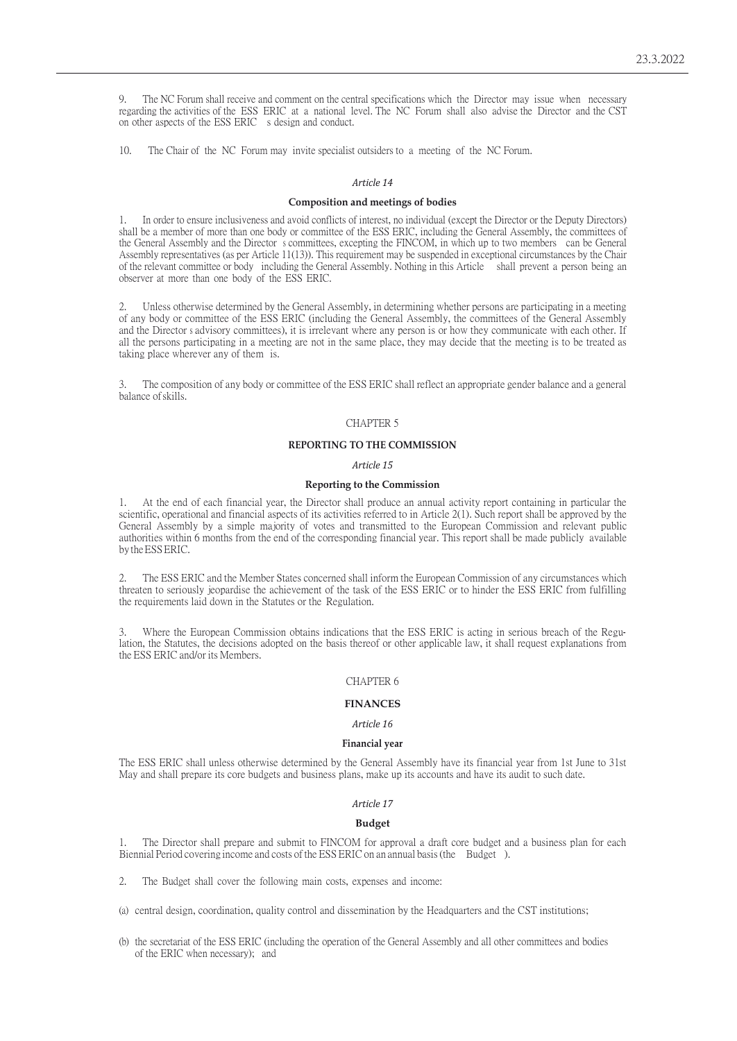9. The NC Forum shall receive and comment on the central specifications which the Director may issue when necessary regarding the activities of the ESS ERIC at a national level. The NC Forum shall also advise the Director and the CST on other aspects of the ESS ERIC s design and conduct.

10. The Chair of the NC Forum may invite specialist outsiders to a meeting of the NC Forum.

### *Article 14*

# **Composition and meetings of bodies**

1. In order to ensure inclusiveness and avoid conflicts of interest, no individual (except the Director or the Deputy Directors) shall be a member of more than one body or committee of the ESS ERIC, including the General Assembly, the committees of the General Assembly and the Director s committees, excepting the FINCOM, in which up to two members can be General Assembly representatives (as per Article 11(13)). This requirement may be suspended in exceptional circumstances by the Chair of the relevant committee or body including the General Assembly. Nothing in this Article shall prevent a person being an observer at more than one body of the ESS ERIC.

2. Unless otherwise determined by the General Assembly, in determining whether persons are participating in a meeting of any body or committee of the ESS ERIC (including the General Assembly, the committees of the General Assembly and the Director s advisory committees), it is irrelevant where any person is or how they communicate with each other. If all the persons participating in a meeting are not in the same place, they may decide that the meeting is to be treated as taking place wherever any of them is.

3. The composition of any body or committee of the ESS ERIC shall reflect an appropriate gender balance and a general balance ofskills.

# CHAPTER 5

# **REPORTING TO THE COMMISSION**

### *Article 15*

### **Reporting to the Commission**

1. At the end of each financial year, the Director shall produce an annual activity report containing in particular the scientific, operational and financial aspects of its activities referred to in Article 2(1). Such report shall be approved by the General Assembly by a simple majority of votes and transmitted to the European Commission and relevant public authorities within 6 months from the end of the corresponding financial year. This report shall be made publicly available by theESSERIC.

2. The ESS ERIC and the Member States concerned shall inform the European Commission of any circumstances which threaten to seriously jeopardise the achievement of the task of the ESS ERIC or to hinder the ESS ERIC from fulfilling the requirements laid down in the Statutes or the Regulation.

Where the European Commission obtains indications that the ESS ERIC is acting in serious breach of the Regulation, the Statutes, the decisions adopted on the basis thereof or other applicable law, it shall request explanations from the ESS ERIC and/or its Members.

# CHAPTER 6

### **FINANCES**

# *Article 16*

#### **Financial year**

The ESS ERIC shall unless otherwise determined by the General Assembly have its financial year from 1st June to 31st May and shall prepare its core budgets and business plans, make up its accounts and have its audit to such date.

# *Article 17*

#### **Budget**

1. The Director shall prepare and submit to FINCOM for approval a draft core budget and a business plan for each Biennial Period covering income and costs of the ESS ERIC on an annual basis (the Budget).

2. The Budget shall cover the following main costs, expenses and income:

(a) central design, coordination, quality control and dissemination by the Headquarters and the CST institutions;

(b) the secretariat of the ESS ERIC (including the operation of the General Assembly and all other committees and bodies of the ERIC when necessary); and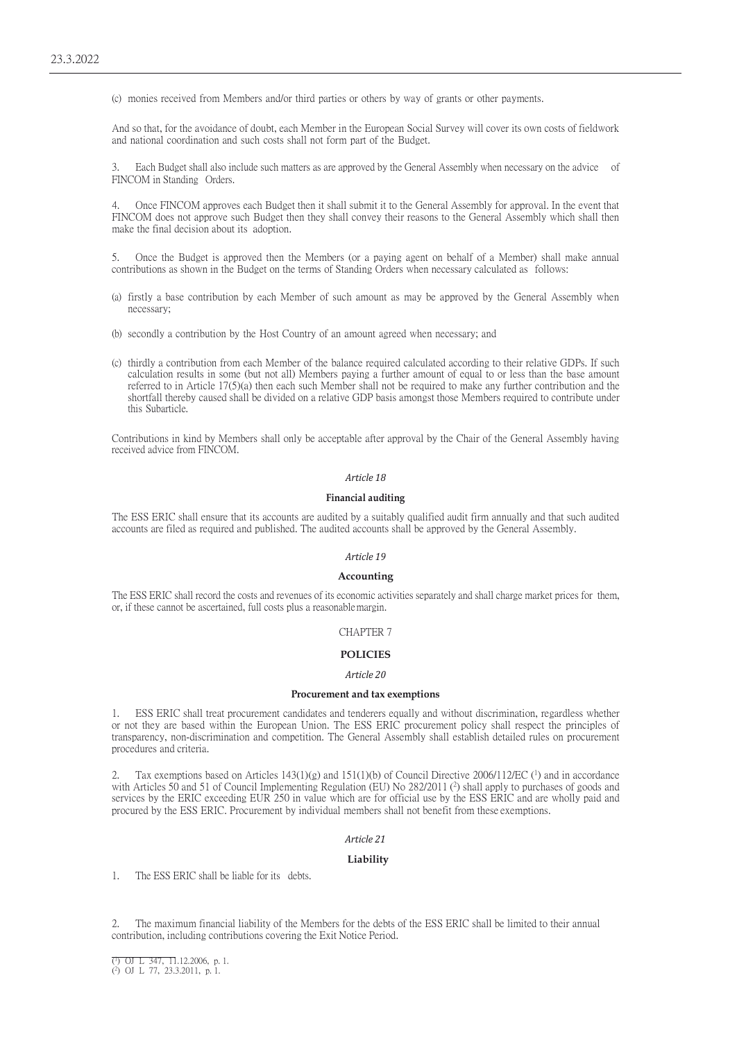(c) monies received from Members and/or third parties or others by way of grants or other payments.

And so that, for the avoidance of doubt, each Member in the European Social Survey will cover its own costs of fieldwork and national coordination and such costs shall not form part of the Budget.

Each Budget shall also include such matters as are approved by the General Assembly when necessary on the advice of FINCOM in Standing Orders.

4. Once FINCOM approves each Budget then it shall submit it to the General Assembly for approval. In the event that FINCOM does not approve such Budget then they shall convey their reasons to the General Assembly which shall then make the final decision about its adoption.

5. Once the Budget is approved then the Members (or a paying agent on behalf of a Member) shall make annual contributions as shown in the Budget on the terms of Standing Orders when necessary calculated as follows:

- (a) firstly a base contribution by each Member of such amount as may be approved by the General Assembly when necessary;
- (b) secondly a contribution by the Host Country of an amount agreed when necessary; and
- (c) thirdly a contribution from each Member of the balance required calculated according to their relative GDPs. If such calculation results in some (but not all) Members paying a further amount of equal to or less than the base amount referred to in Article 17(5)(a) then each such Member shall not be required to make any further contribution and the shortfall thereby caused shall be divided on a relative GDP basis amongst those Members required to contribute under this Subarticle.

Contributions in kind by Members shall only be acceptable after approval by the Chair of the General Assembly having received advice from FINCOM.

# *Article 18*

# **Financial auditing**

The ESS ERIC shall ensure that its accounts are audited by a suitably qualified audit firm annually and that such audited accounts are filed as required and published. The audited accounts shall be approved by the General Assembly.

# *Article 19*

### **Accounting**

The ESS ERIC shall record the costs and revenues of its economic activities separately and shall charge market prices for them, or, if these cannot be ascertained, full costs plus a reasonablemargin.

### CHAPTER 7

## **POLICIES**

#### *Article 20*

### **Procurement and tax exemptions**

1. ESS ERIC shall treat procurement candidates and tenderers equally and without discrimination, regardless whether or not they are based within the European Union. The ESS ERIC procurement policy shall respect the principles of transparency, non-discrimination and competition. The General Assembly shall establish detailed rules on procurement procedures and criteria.

Tax exemptions based on Articles  $143(1)(g)$  and  $151(1)(b)$  of Council Directive 2006/112/EC (<sup>1</sup>) and in accordance with Articles 50 and 51 of Council Implementing Regulation (EU) No 282/2011 (<sup>2</sup>) shall apply to purchases of goods and services by the ERIC exceeding EUR 250 in value which are for official use by the ESS ERIC and are wholly paid and procured by the ESS ERIC. Procurement by individual members shall not benefit from these exemptions.

#### *Article 21*

#### **Liability**

1. The ESS ERIC shall be liable for its debts.

2. The maximum financial liability of the Members for the debts of the ESS ERIC shall be limited to their annual contribution, including contributions covering the Exit Notice Period.

<sup>(1)</sup> OJ L 347, 11.12.2006, p. 1.

<sup>(2)</sup> OJ L 77, 23.3.2011, p. 1.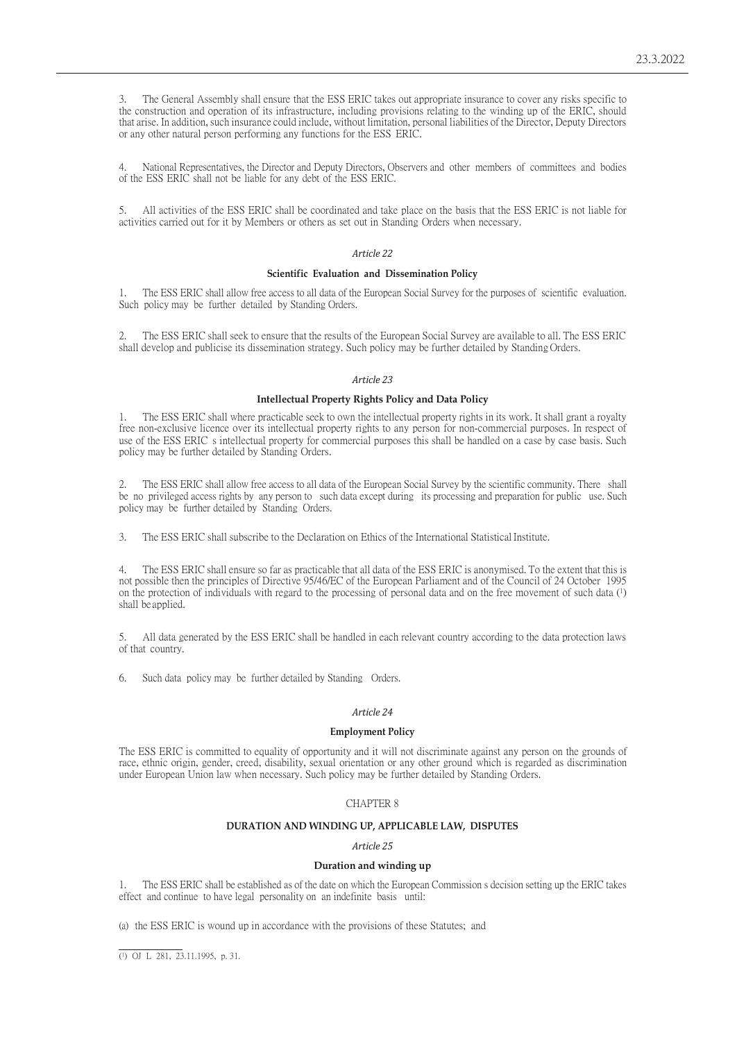3. The General Assembly shall ensure that the ESS ERIC takes out appropriate insurance to cover any risks specific to the construction and operation of its infrastructure, including provisions relating to the winding up of the ERIC, should that arise. In addition, such insurance could include, without limitation, personal liabilities of the Director, Deputy Directors or any other natural person performing any functions for the ESS ERIC.

4. National Representatives, the Director and Deputy Directors, Observers and other members of committees and bodies of the ESS ERIC shall not be liable for any debt of the ESS ERIC.

5. All activities of the ESS ERIC shall be coordinated and take place on the basis that the ESS ERIC is not liable for activities carried out for it by Members or others as set out in Standing Orders when necessary.

## *Article 22*

#### **Scientific Evaluation and Dissemination Policy**

1. The ESS ERIC shall allow free access to all data of the European Social Survey for the purposes of scientific evaluation. Such policy may be further detailed by Standing Orders.

2. The ESS ERIC shall seek to ensure that the results of the European Social Survey are available to all. The ESS ERIC shall develop and publicise its dissemination strategy. Such policy may be further detailed by Standing Orders.

# *Article 23*

# **Intellectual Property Rights Policy and Data Policy**

1. The ESS ERIC shall where practicable seek to own the intellectual property rights in its work. It shall grant a royalty free non-exclusive licence over its intellectual property rights to any person for non-commercial purposes. In respect of use of the ESS ERIC s intellectual property for commercial purposes this shall be handled on a case by case basis. Such policy may be further detailed by Standing Orders.

2. The ESS ERIC shall allow free access to all data of the European Social Survey by the scientific community. There shall be no privileged access rights by any person to such data except during its processing and preparation for public use. Such policy may be further detailed by Standing Orders.

3. The ESS ERIC shall subscribe to the Declaration on Ethics of the International Statistical Institute.

4. The ESS ERIC shall ensure so far as practicable that all data of the ESS ERIC is anonymised. To the extent that this is not possible then the principles of Directive 95/46/EC of the European Parliament and of the Council of 24 October 1995 on the protection of individuals with regard to the processing of personal data and on the free movement of such data (1) shall be applied.

5. All data generated by the ESS ERIC shall be handled in each relevant country according to the data protection laws of that country.

6. Such data policy may be further detailed by Standing Orders.

## *Article 24*

## **Employment Policy**

The ESS ERIC is committed to equality of opportunity and it will not discriminate against any person on the grounds of race, ethnic origin, gender, creed, disability, sexual orientation or any other ground which is regarded as discrimination under European Union law when necessary. Such policy may be further detailed by Standing Orders.

# CHAPTER 8

### **DURATION AND WINDING UP, APPLICABLE LAW, DISPUTES**

### *Article 25*

#### **Duration and winding up**

1. The ESS ERIC shall be established as of the date on which the European Commission s decision setting up the ERIC takes effect and continue to have legal personality on an indefinite basis until:

(a) the ESS ERIC is wound up in accordance with the provisions of these Statutes; and

<sup>(1)</sup> OJ L 281, 23.11.1995, p. 31.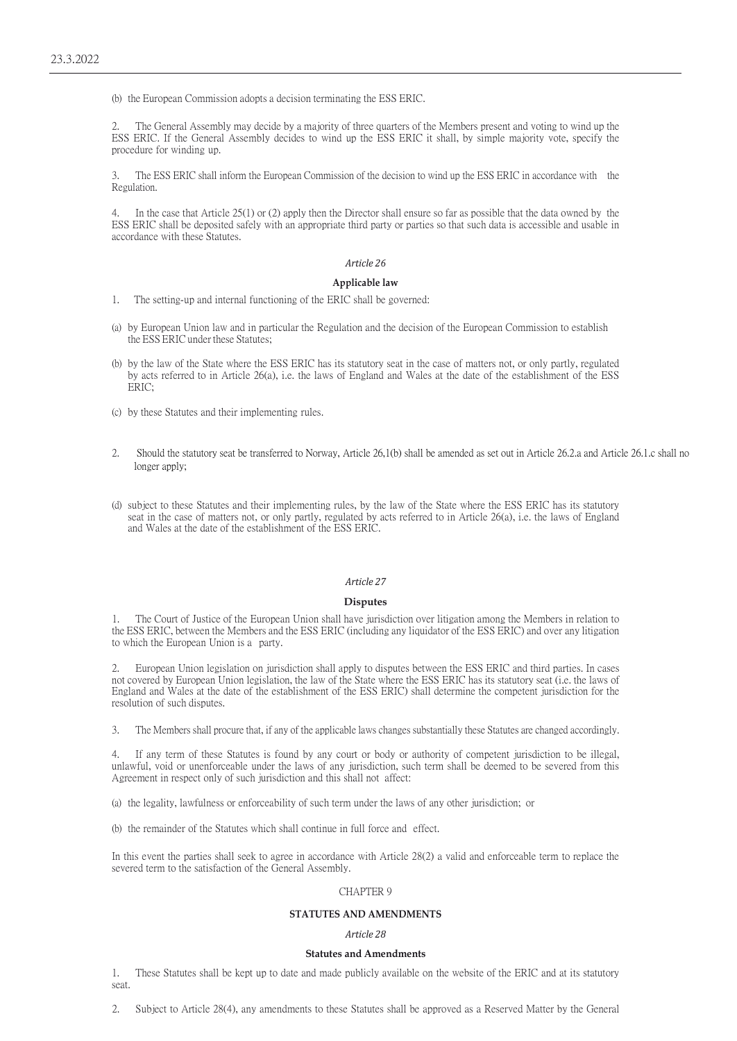(b) the European Commission adopts a decision terminating the ESS ERIC.

2. The General Assembly may decide by a majority of three quarters of the Members present and voting to wind up the ESS ERIC. If the General Assembly decides to wind up the ESS ERIC it shall, by simple majority vote, specify the procedure for winding up.

3. The ESS ERIC shall inform the European Commission of the decision to wind up the ESS ERIC in accordance with the Regulation.

In the case that Article  $25(1)$  or (2) apply then the Director shall ensure so far as possible that the data owned by the ESS ERIC shall be deposited safely with an appropriate third party or parties so that such data is accessible and usable in accordance with these Statutes.

# *Article 26*

# **Applicable law**

- 1. The setting-up and internal functioning of the ERIC shall be governed:
- (a) by European Union law and in particular the Regulation and the decision of the European Commission to establish the ESS ERIC under these Statutes;
- (b) by the law of the State where the ESS ERIC has its statutory seat in the case of matters not, or only partly, regulated by acts referred to in Article 26(a), i.e. the laws of England and Wales at the date of the establishment of the ESS  $FRTC$
- (c) by these Statutes and their implementing rules.
- 2. Should the statutory seat be transferred to Norway, Article 26,1(b) shall be amended as set out in Article 26.2.a and Article 26.1.c shall no longer apply;
- (d) subject to these Statutes and their implementing rules, by the law of the State where the ESS ERIC has its statutory seat in the case of matters not, or only partly, regulated by acts referred to in Article 26(a), i.e. the laws of England and Wales at the date of the establishment of the ESS ERIC.

# *Article 27*

### **Disputes**

1. The Court of Justice of the European Union shall have jurisdiction over litigation among the Members in relation to the ESS ERIC, between the Members and the ESS ERIC (including any liquidator of the ESS ERIC) and over any litigation to which the European Union is a party.

2. European Union legislation on jurisdiction shall apply to disputes between the ESS ERIC and third parties. In cases not covered by European Union legislation, the law of the State where the ESS ERIC has its statutory seat (i.e. the laws of England and Wales at the date of the establishment of the ESS ERIC) shall determine the competent jurisdiction for the resolution of such disputes.

3. The Members shall procure that, if any of the applicable laws changes substantially these Statutes are changed accordingly.

4. If any term of these Statutes is found by any court or body or authority of competent jurisdiction to be illegal, unlawful, void or unenforceable under the laws of any jurisdiction, such term shall be deemed to be severed from this Agreement in respect only of such jurisdiction and this shall not affect:

(a) the legality, lawfulness or enforceability of such term under the laws of any other jurisdiction; or

(b) the remainder of the Statutes which shall continue in full force and effect.

In this event the parties shall seek to agree in accordance with Article 28(2) a valid and enforceable term to replace the severed term to the satisfaction of the General Assembly.

### CHAPTER 9

# **STATUTES AND AMENDMENTS**

### *Article 28*

### **Statutes and Amendments**

1. These Statutes shall be kept up to date and made publicly available on the website of the ERIC and at its statutory seat.

2. Subject to Article 28(4), any amendments to these Statutes shall be approved as a Reserved Matter by the General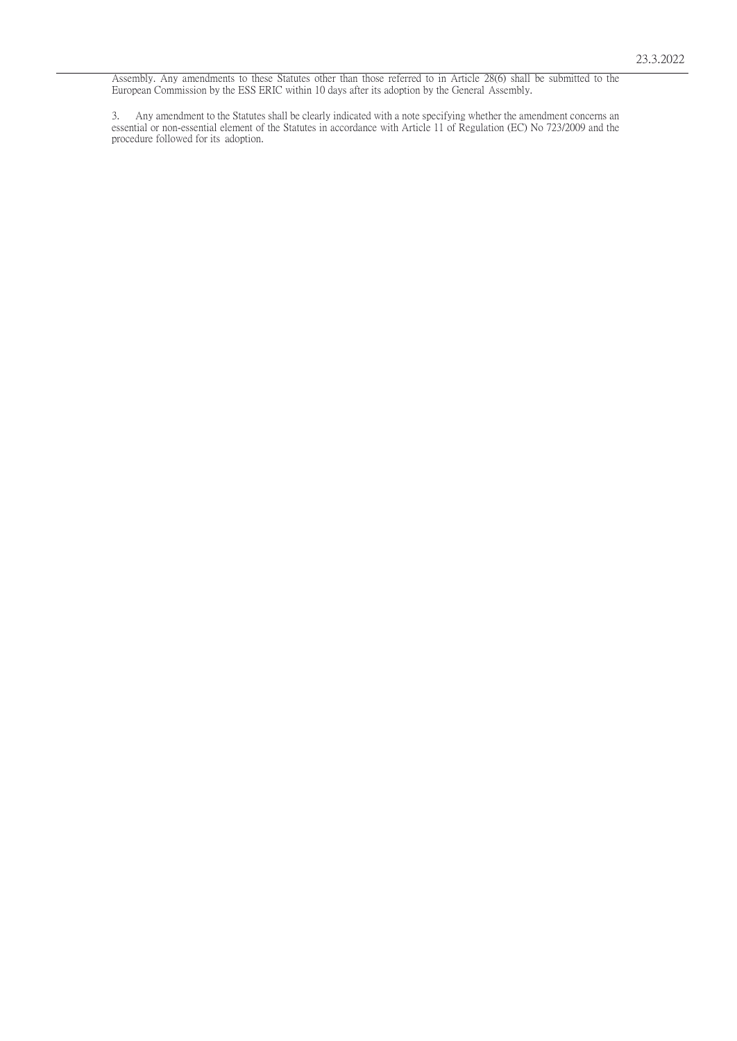Assembly. Any amendments to these Statutes other than those referred to in Article 28(6) shall be submitted to the European Commission by the ESS ERIC within 10 days after its adoption by the General Assembly.

3. Any amendment to the Statutes shall be clearly indicated with a note specifying whether the amendment concerns an essential or non-essential element of the Statutes in accordance with Article 11 of Regulation (EC) No 723/2009 and the procedure followed for its adoption.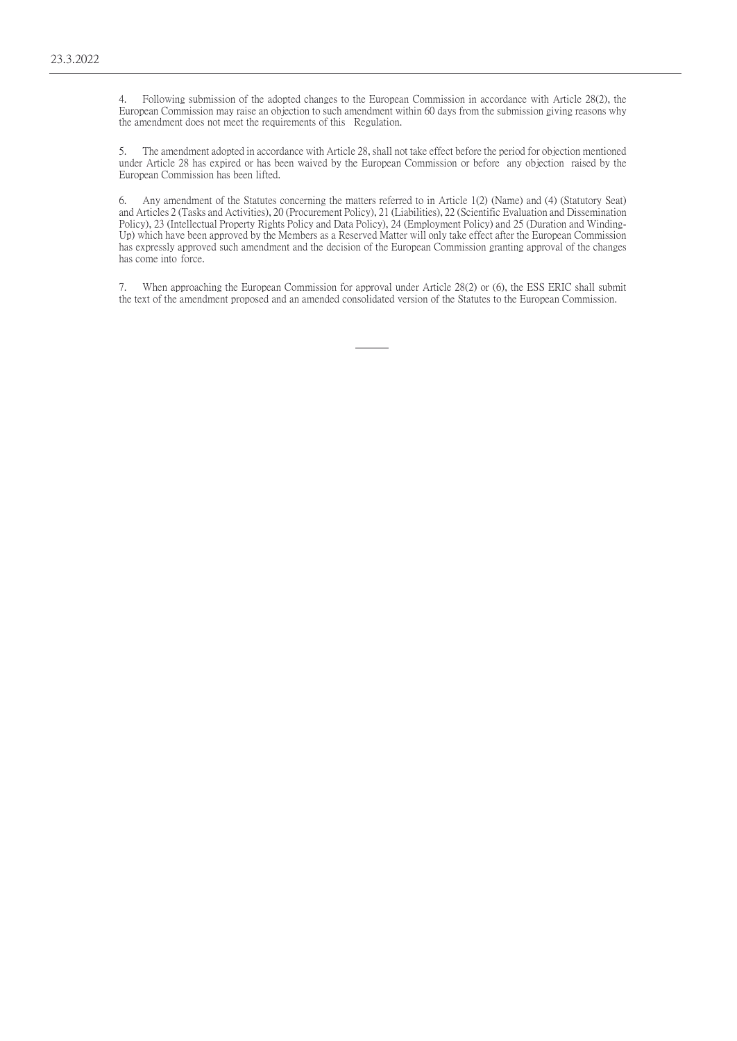4. Following submission of the adopted changes to the European Commission in accordance with Article 28(2), the European Commission may raise an objection to such amendment within 60 days from the submission giving reasons why the amendment does not meet the requirements of this Regulation.

5. The amendment adopted in accordance with Article 28, shall not take effect before the period for objection mentioned under Article 28 has expired or has been waived by the European Commission or before any objection raised by the European Commission has been lifted.

6. Any amendment of the Statutes concerning the matters referred to in Article 1(2) (Name) and (4) (Statutory Seat) and Articles 2 (Tasks and Activities), 20 (Procurement Policy), 21 (Liabilities), 22 (Scientific Evaluation and Dissemination Policy), 23 (Intellectual Property Rights Policy and Data Policy), 24 (Employment Policy) and 25 (Duration and Winding-Up) which have been approved by the Members as a Reserved Matter will only take effect after the European Commission has expressly approved such amendment and the decision of the European Commission granting approval of the changes has come into force.

7. When approaching the European Commission for approval under Article 28(2) or (6), the ESS ERIC shall submit the text of the amendment proposed and an amended consolidated version of the Statutes to the European Commission.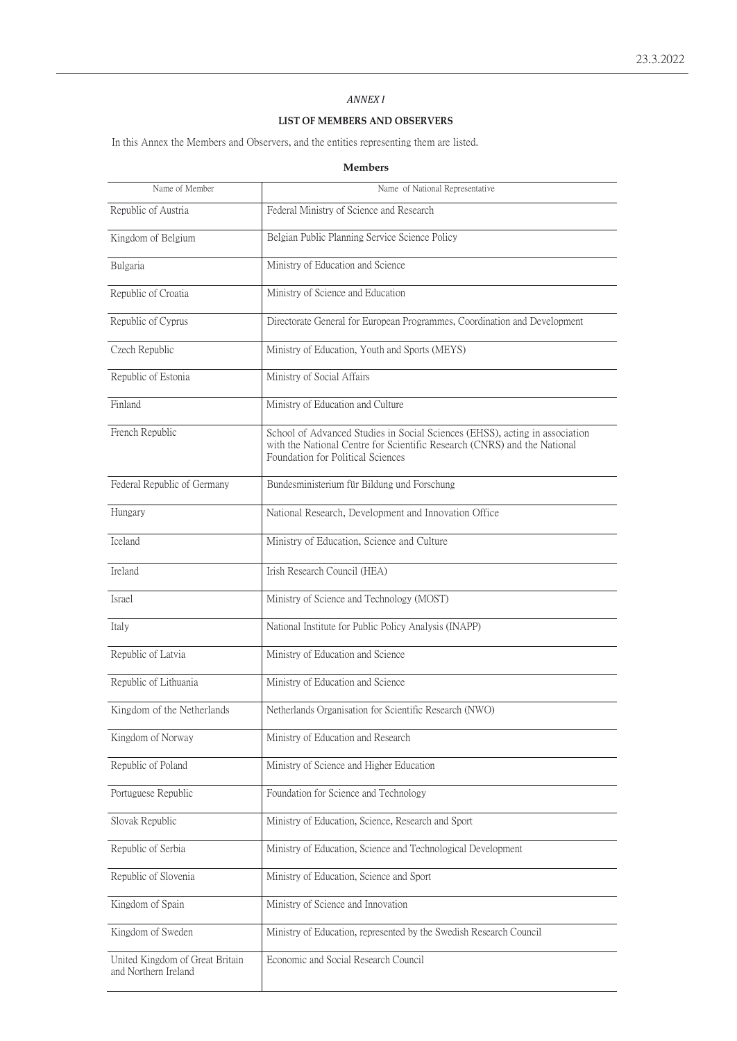# *ANNEX I*

# **LIST OF MEMBERS AND OBSERVERS**

In this Annex the Members and Observers, and the entities representing them are listed.

# **Members**

| Name of Member                                          | Name of National Representative                                                                                                                                                              |  |  |
|---------------------------------------------------------|----------------------------------------------------------------------------------------------------------------------------------------------------------------------------------------------|--|--|
| Republic of Austria                                     | Federal Ministry of Science and Research                                                                                                                                                     |  |  |
| Kingdom of Belgium                                      | Belgian Public Planning Service Science Policy                                                                                                                                               |  |  |
| Bulgaria                                                | Ministry of Education and Science                                                                                                                                                            |  |  |
| Republic of Croatia                                     | Ministry of Science and Education                                                                                                                                                            |  |  |
| Republic of Cyprus                                      | Directorate General for European Programmes, Coordination and Development                                                                                                                    |  |  |
| Czech Republic                                          | Ministry of Education, Youth and Sports (MEYS)                                                                                                                                               |  |  |
| Republic of Estonia                                     | Ministry of Social Affairs                                                                                                                                                                   |  |  |
| Finland                                                 | Ministry of Education and Culture                                                                                                                                                            |  |  |
| French Republic                                         | School of Advanced Studies in Social Sciences (EHSS), acting in association<br>with the National Centre for Scientific Research (CNRS) and the National<br>Foundation for Political Sciences |  |  |
| Federal Republic of Germany                             | Bundesministerium für Bildung und Forschung                                                                                                                                                  |  |  |
| Hungary                                                 | National Research, Development and Innovation Office                                                                                                                                         |  |  |
| Iceland                                                 | Ministry of Education, Science and Culture                                                                                                                                                   |  |  |
| Ireland                                                 | Irish Research Council (HEA)                                                                                                                                                                 |  |  |
| Israel                                                  | Ministry of Science and Technology (MOST)                                                                                                                                                    |  |  |
| Italy                                                   | National Institute for Public Policy Analysis (INAPP)                                                                                                                                        |  |  |
| Republic of Latvia                                      | Ministry of Education and Science                                                                                                                                                            |  |  |
| Republic of Lithuania                                   | Ministry of Education and Science                                                                                                                                                            |  |  |
| Kingdom of the Netherlands                              | Netherlands Organisation for Scientific Research (NWO)                                                                                                                                       |  |  |
| Kingdom of Norway                                       | Ministry of Education and Research                                                                                                                                                           |  |  |
| Republic of Poland                                      | Ministry of Science and Higher Education                                                                                                                                                     |  |  |
| Portuguese Republic                                     | Foundation for Science and Technology                                                                                                                                                        |  |  |
| Slovak Republic                                         | Ministry of Education, Science, Research and Sport                                                                                                                                           |  |  |
| Republic of Serbia                                      | Ministry of Education, Science and Technological Development                                                                                                                                 |  |  |
| Republic of Slovenia                                    | Ministry of Education, Science and Sport                                                                                                                                                     |  |  |
| Kingdom of Spain                                        | Ministry of Science and Innovation                                                                                                                                                           |  |  |
| Kingdom of Sweden                                       | Ministry of Education, represented by the Swedish Research Council                                                                                                                           |  |  |
| United Kingdom of Great Britain<br>and Northern Ireland | Economic and Social Research Council                                                                                                                                                         |  |  |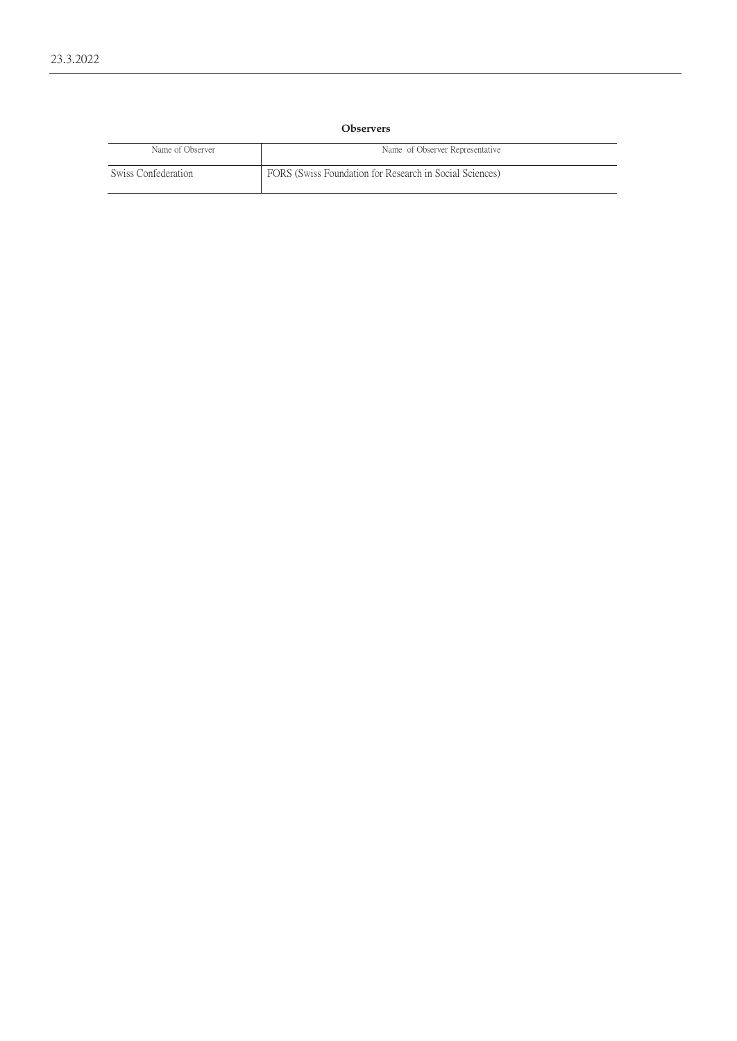# **Observers**

| Name of Observer    | Name of Observer Representative                         |
|---------------------|---------------------------------------------------------|
| Swiss Confederation | FORS (Swiss Foundation for Research in Social Sciences) |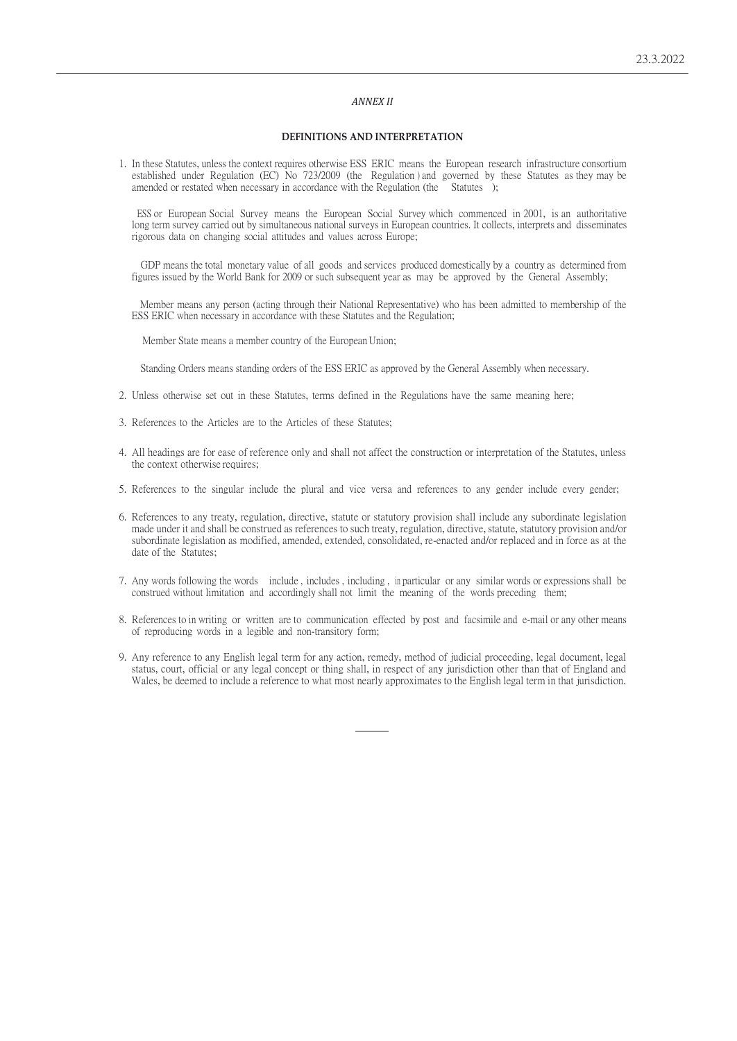# *ANNEX II*

### **DEFINITIONS AND INTERPRETATION**

1. In these Statutes, unless the context requires otherwise ESS ERIC means the European research infrastructure consortium established under Regulation (EC) No 723/2009 (the Regulation ) and governed by these Statutes as they may be amended or restated when necessary in accordance with the Regulation (the Statutes );

ESS or European Social Survey means the European Social Survey which commenced in 2001, is an authoritative long term survey carried out by simultaneous national surveys in European countries. It collects, interprets and disseminates rigorous data on changing social attitudes and values across Europe;

GDP means the total monetary value of all goods and services produced domestically by a country as determined from figures issued by the World Bank for 2009 or such subsequent year as may be approved by the General Assembly;

Member means any person (acting through their National Representative) who has been admitted to membership of the ESS ERIC when necessary in accordance with these Statutes and the Regulation;

Member State means a member country of the European Union;

Standing Orders means standing orders of the ESS ERIC as approved by the General Assembly when necessary.

- 2. Unless otherwise set out in these Statutes, terms defined in the Regulations have the same meaning here;
- 3. References to the Articles are to the Articles of these Statutes;
- 4. All headings are for ease of reference only and shall not affect the construction or interpretation of the Statutes, unless the context otherwise requires;
- 5. References to the singular include the plural and vice versa and references to any gender include every gender;
- 6. References to any treaty, regulation, directive, statute or statutory provision shall include any subordinate legislation made under it and shall be construed as references to such treaty, regulation, directive, statute, statutory provision and/or subordinate legislation as modified, amended, extended, consolidated, re-enacted and/or replaced and in force as at the date of the Statutes;
- 7. Any words following the words include , includes , including , in particular or any similar words or expressions shall be construed without limitation and accordingly shall not limit the meaning of the words preceding them;
- 8. References to in writing or written are to communication effected by post and facsimile and e-mail or any other means of reproducing words in a legible and non-transitory form;
- 9. Any reference to any English legal term for any action, remedy, method of judicial proceeding, legal document, legal status, court, official or any legal concept or thing shall, in respect of any jurisdiction other than that of England and Wales, be deemed to include a reference to what most nearly approximates to the English legal term in that jurisdiction.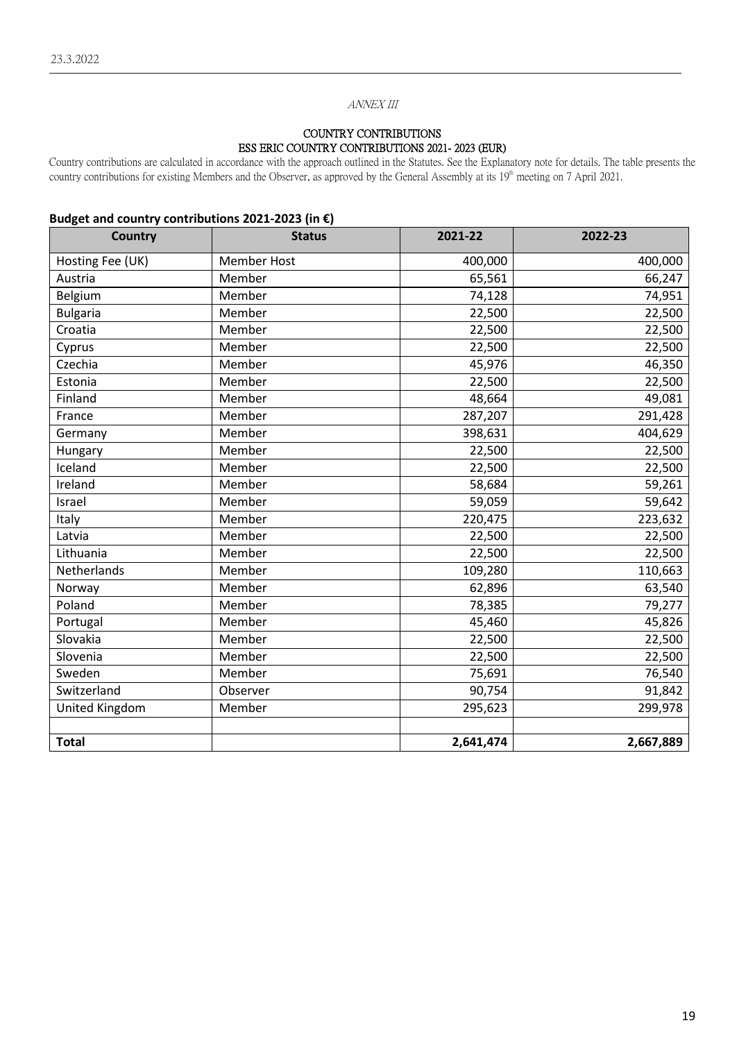# ANNEX III

# COUNTRY CONTRIBUTIONS ESS ERIC COUNTRY CONTRIBUTIONS 2021- 2023 (EUR)

Country contributions are calculated in accordance with the approach outlined in the Statutes. See the Explanatory note for details. The table presents the country contributions for existing Members and the Observer, as approved by the General Assembly at its 19<sup>th</sup> meeting on 7 April 2021.

# **Budget and country contributions 2021-2023 (in €)**

| <b>Country</b>   | <b>Status</b>      | 2021-22   | 2022-23   |
|------------------|--------------------|-----------|-----------|
| Hosting Fee (UK) | <b>Member Host</b> | 400,000   | 400,000   |
| Austria          | Member             | 65,561    | 66,247    |
| Belgium          | Member             | 74,128    | 74,951    |
| <b>Bulgaria</b>  | Member             | 22,500    | 22,500    |
| Croatia          | Member             | 22,500    | 22,500    |
| Cyprus           | Member             | 22,500    | 22,500    |
| Czechia          | Member             | 45,976    | 46,350    |
| Estonia          | Member             | 22,500    | 22,500    |
| Finland          | Member             | 48,664    | 49,081    |
| France           | Member             | 287,207   | 291,428   |
| Germany          | Member             | 398,631   | 404,629   |
| Hungary          | Member             | 22,500    | 22,500    |
| Iceland          | Member             | 22,500    | 22,500    |
| Ireland          | Member             | 58,684    | 59,261    |
| Israel           | Member             | 59,059    | 59,642    |
| Italy            | Member             | 220,475   | 223,632   |
| Latvia           | Member             | 22,500    | 22,500    |
| Lithuania        | Member             | 22,500    | 22,500    |
| Netherlands      | Member             | 109,280   | 110,663   |
| Norway           | Member             | 62,896    | 63,540    |
| Poland           | Member             | 78,385    | 79,277    |
| Portugal         | Member             | 45,460    | 45,826    |
| Slovakia         | Member             | 22,500    | 22,500    |
| Slovenia         | Member             | 22,500    | 22,500    |
| Sweden           | Member             | 75,691    | 76,540    |
| Switzerland      | Observer           | 90,754    | 91,842    |
| United Kingdom   | Member             | 295,623   | 299,978   |
|                  |                    |           |           |
| <b>Total</b>     |                    | 2,641,474 | 2,667,889 |